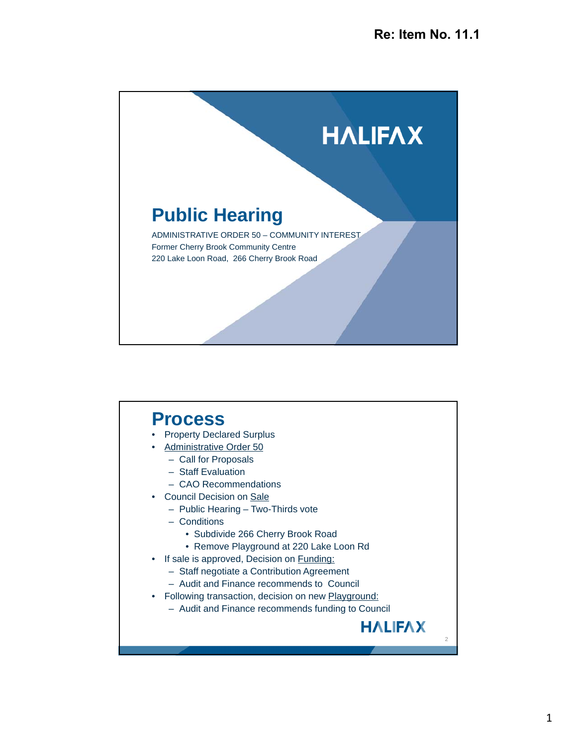

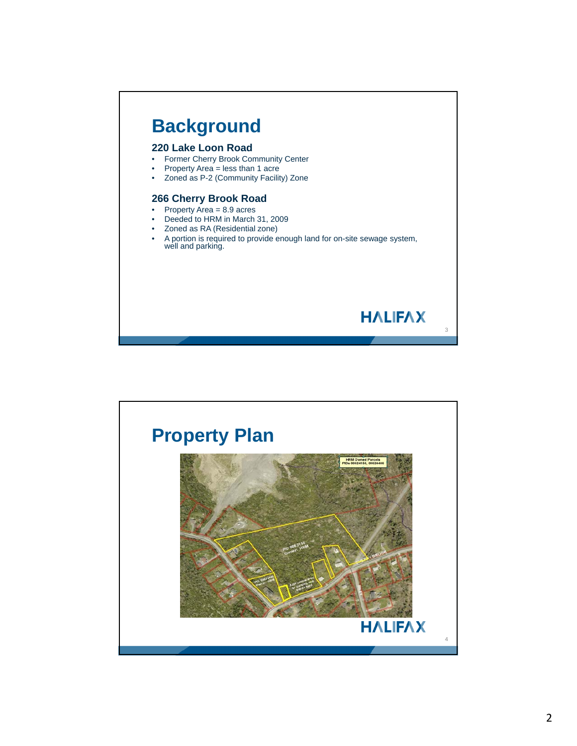

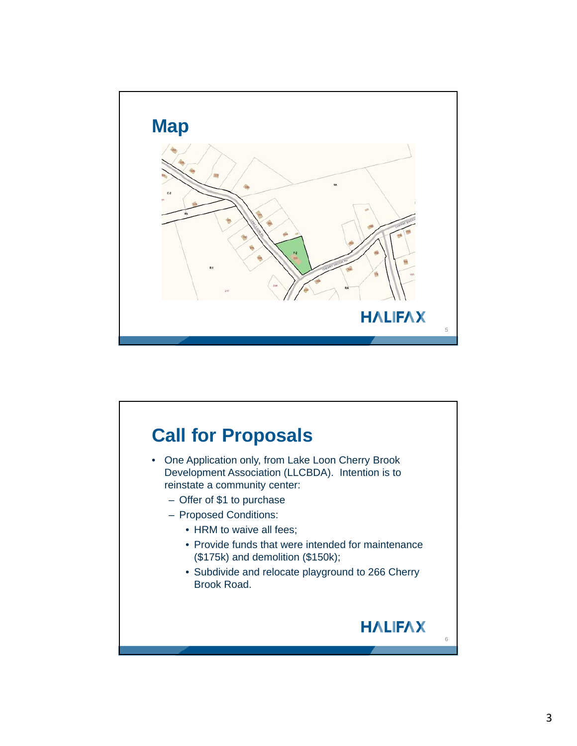

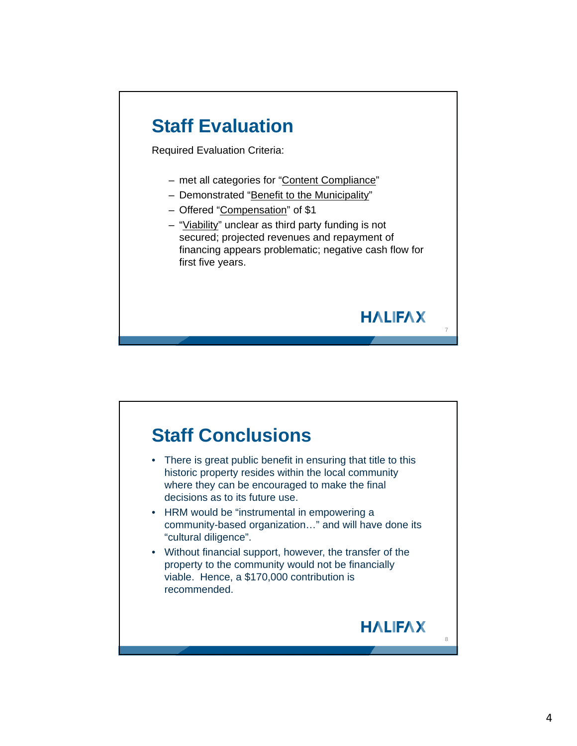## **Staff Evaluation** Required Evaluation Criteria: – met all categories for "Content Compliance" – Demonstrated "Benefit to the Municipality" – Offered "Compensation" of \$1 – "Viability" unclear as third party funding is not secured; projected revenues and repayment of financing appears problematic; negative cash flow for first five years. **HALIFAX**



7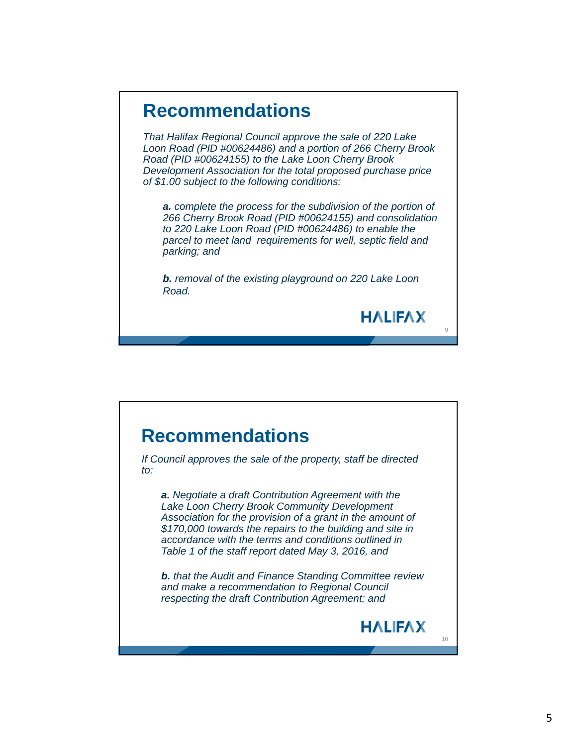## **Recommendations**

*That Halifax Regional Council approve the sale of 220 Lake Loon Road (PID #00624486) and a portion of 266 Cherry Brook Road (PID #00624155) to the Lake Loon Cherry Brook Development Association for the total proposed purchase price of \$1.00 subject to the following conditions:*

*a. complete the process for the subdivision of the portion of 266 Cherry Brook Road (PID #00624155) and consolidation to 220 Lake Loon Road (PID #00624486) to enable the parcel to meet land requirements for well, septic field and parking; and*

*b. removal of the existing playground on 220 Lake Loon Road.*

9

**HALIFAX**